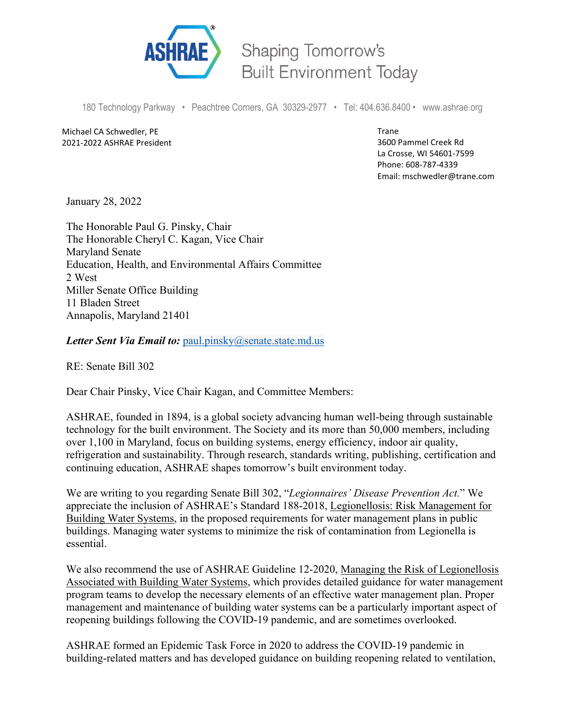

**Shaping Tomorrow's Built Environment Today** 

180 Technology Parkway • Peachtree Corners, GA 30329-2977 • Tel: 404.636.8400 • www.ashrae.org

Michael CA Schwedler, PE 2021-2022 ASHRAE President Trane 3600 Pammel Creek Rd La Crosse, WI 54601-7599 Phone: 608-787-4339 Email: mschwedler@trane.com

January 28, 2022

The Honorable Paul G. Pinsky, Chair The Honorable Cheryl C. Kagan, Vice Chair Maryland Senate Education, Health, and Environmental Affairs Committee 2 West Miller Senate Office Building 11 Bladen Street Annapolis, Maryland 21401

*Letter Sent Via Email to:* [paul.pinsky@senate.state.md.us](mailto:paul.pinsky@senate.state.md.us?body=To%20assist%20us%20as%20quickly%20and%20comprehensively%20as%20possible,%20please%20include%20the%20following%20information.%0A%0ANAME:%0AHOME%20ADDRESS%20AND%20ZIP%20CODE:%0APHONE%20NUMBER:%20)

RE: Senate Bill 302

Dear Chair Pinsky, Vice Chair Kagan, and Committee Members:

ASHRAE, founded in 1894, is a global society advancing human well-being through sustainable technology for the built environment. The Society and its more than 50,000 members, including over 1,100 in Maryland, focus on building systems, energy efficiency, indoor air quality, refrigeration and sustainability. Through research, standards writing, publishing, certification and continuing education, ASHRAE shapes tomorrow's built environment today.

We are writing to you regarding Senate Bill 302, "*Legionnaires' Disease Prevention Act.*" We appreciate the inclusion of ASHRAE's Standard 188-2018, Legionellosis: Risk Management for Building Water Systems, in the proposed requirements for water management plans in public buildings. Managing water systems to minimize the risk of contamination from Legionella is essential.

We also recommend the use of ASHRAE Guideline 12-2020, Managing the Risk of Legionellosis Associated with Building Water Systems, which provides detailed guidance for water management program teams to develop the necessary elements of an effective water management plan. Proper management and maintenance of building water systems can be a particularly important aspect of reopening buildings following the COVID-19 pandemic, and are sometimes overlooked.

ASHRAE formed an Epidemic Task Force in 2020 to address the COVID-19 pandemic in building-related matters and has developed guidance on building reopening related to ventilation,